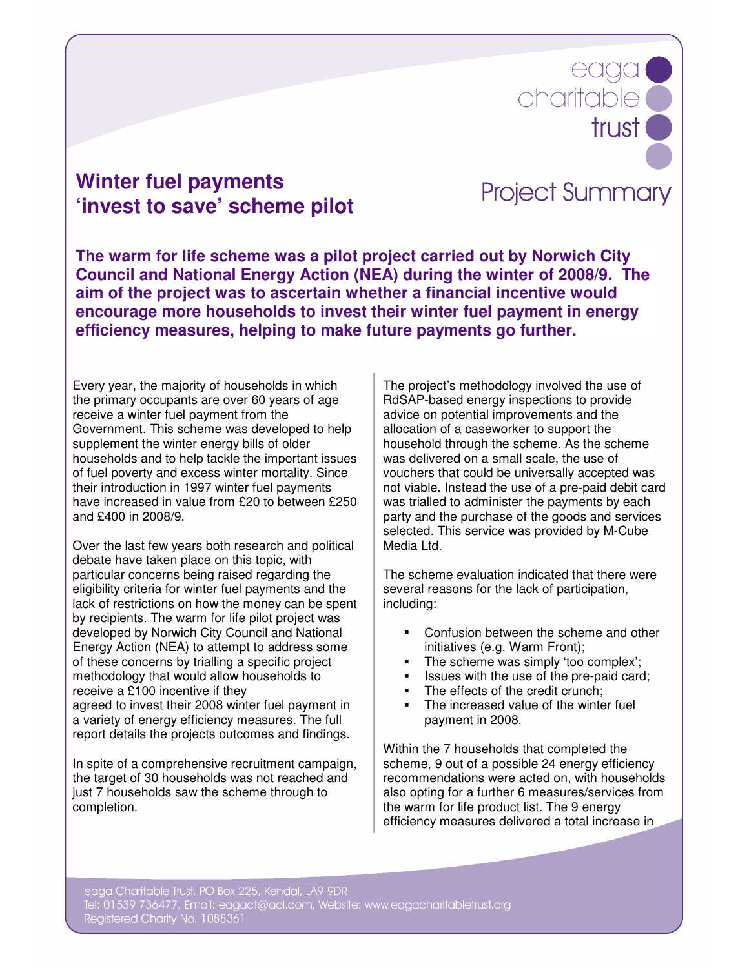## **Winter fuel payments 'invest to save' scheme pilot**

## **Project Summary**

charitable

eaga

trust **O** 

**The warm for life scheme was a pilot project carried out by Norwich City Council and National Energy Action (NEA) during the winter of 2008/9. The aim of the project was to ascertain whether a financial incentive would encourage more households to invest their winter fuel payment in energy efficiency measures, helping to make future payments go further.** 

Every year, the majority of households in which the primary occupants are over 60 years of age receive a winter fuel payment from the Government. This scheme was developed to help supplement the winter energy bills of older households and to help tackle the important issues of fuel poverty and excess winter mortality. Since their introduction in 1997 winter fuel payments have increased in value from £20 to between £250 and £400 in 2008/9.

Over the last few years both research and political debate have taken place on this topic, with particular concerns being raised regarding the eligibility criteria for winter fuel payments and the lack of restrictions on how the money can be spent by recipients. The warm for life pilot project was developed by Norwich City Council and National Energy Action (NEA) to attempt to address some of these concerns by trialling a specific project methodology that would allow households to receive a £100 incentive if they agreed to invest their 2008 winter fuel payment in a variety of energy efficiency measures. The full report details the projects outcomes and findings.

In spite of a comprehensive recruitment campaign, the target of 30 households was not reached and just 7 households saw the scheme through to completion.

The project's methodology involved the use of RdSAP-based energy inspections to provide advice on potential improvements and the allocation of a caseworker to support the household through the scheme. As the scheme was delivered on a small scale, the use of vouchers that could be universally accepted was not viable. Instead the use of a pre-paid debit card was trialled to administer the payments by each party and the purchase of the goods and services selected. This service was provided by M-Cube Media Ltd.

The scheme evaluation indicated that there were several reasons for the lack of participation, including:

- Confusion between the scheme and other initiatives (e.g. Warm Front);
- The scheme was simply 'too complex';
- Issues with the use of the pre-paid card;
- The effects of the credit crunch;
- The increased value of the winter fuel payment in 2008.

Within the 7 households that completed the scheme, 9 out of a possible 24 energy efficiency recommendations were acted on, with households also opting for a further 6 measures/services from the warm for life product list. The 9 energy efficiency measures delivered a total increase in

eaga Charitable Trust, PO Box 225, Kendal, LA9 9DR Tel: 01539 736477, Email: eagact@aol.com, Website: www.eagacharitabletrust.org Registered Charity No. 1088361